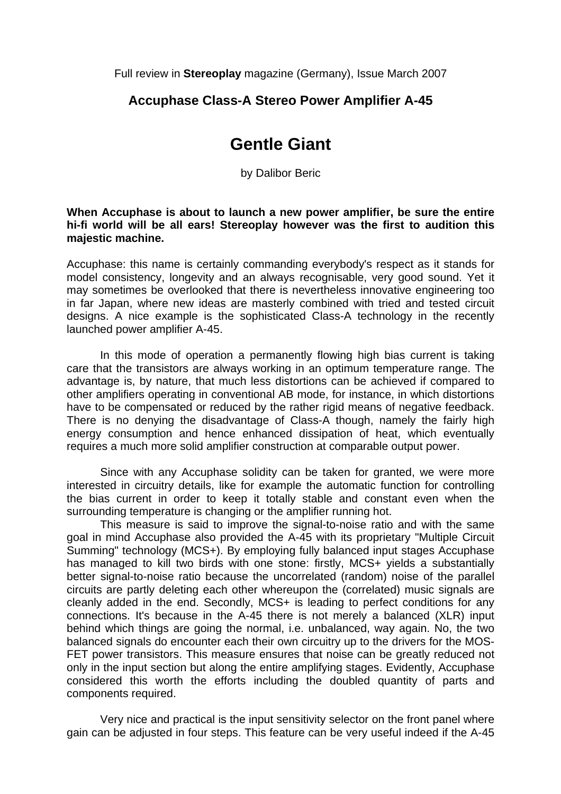Full review in **Stereoplay** magazine (Germany), Issue March 2007

## **Accuphase Class-A Stereo Power Amplifier A-45**

## **Gentle Giant**

by Dalibor Beric

## **When Accuphase is about to launch a new power amplifier, be sure the entire hi-fi world will be all ears! Stereoplay however was the first to audition this majestic machine.**

Accuphase: this name is certainly commanding everybody's respect as it stands for model consistency, longevity and an always recognisable, very good sound. Yet it may sometimes be overlooked that there is nevertheless innovative engineering too in far Japan, where new ideas are masterly combined with tried and tested circuit designs. A nice example is the sophisticated Class-A technology in the recently launched power amplifier A-45.

In this mode of operation a permanently flowing high bias current is taking care that the transistors are always working in an optimum temperature range. The advantage is, by nature, that much less distortions can be achieved if compared to other amplifiers operating in conventional AB mode, for instance, in which distortions have to be compensated or reduced by the rather rigid means of negative feedback. There is no denying the disadvantage of Class-A though, namely the fairly high energy consumption and hence enhanced dissipation of heat, which eventually requires a much more solid amplifier construction at comparable output power.

 Since with any Accuphase solidity can be taken for granted, we were more interested in circuitry details, like for example the automatic function for controlling the bias current in order to keep it totally stable and constant even when the surrounding temperature is changing or the amplifier running hot.

 This measure is said to improve the signal-to-noise ratio and with the same goal in mind Accuphase also provided the A-45 with its proprietary "Multiple Circuit Summing" technology (MCS+). By employing fully balanced input stages Accuphase has managed to kill two birds with one stone: firstly, MCS+ vields a substantially better signal-to-noise ratio because the uncorrelated (random) noise of the parallel circuits are partly deleting each other whereupon the (correlated) music signals are cleanly added in the end. Secondly, MCS+ is leading to perfect conditions for any connections. It's because in the A-45 there is not merely a balanced (XLR) input behind which things are going the normal, i.e. unbalanced, way again. No, the two balanced signals do encounter each their own circuitry up to the drivers for the MOS-FET power transistors. This measure ensures that noise can be greatly reduced not only in the input section but along the entire amplifying stages. Evidently, Accuphase considered this worth the efforts including the doubled quantity of parts and components required.

 Very nice and practical is the input sensitivity selector on the front panel where gain can be adjusted in four steps. This feature can be very useful indeed if the A-45